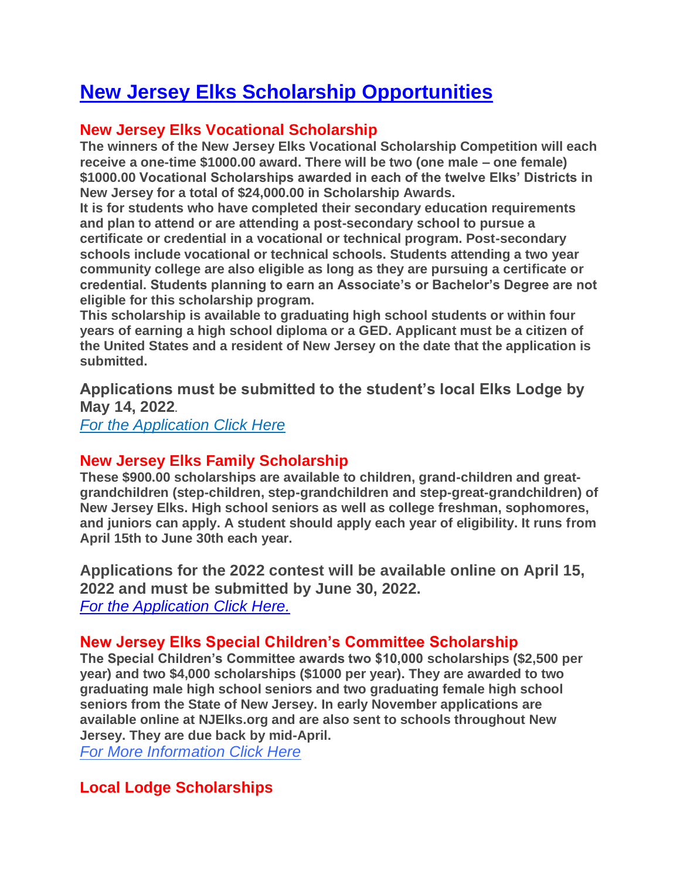# **New Jersey Elks Scholarship Opportunities**

## **New Jersey Elks Vocational Scholarship**

**The winners of the New Jersey Elks Vocational Scholarship Competition will each receive a one-time \$1000.00 award. There will be two (one male – one female) \$1000.00 Vocational Scholarships awarded in each of the twelve Elks' Districts in New Jersey for a total of \$24,000.00 in Scholarship Awards.**

**It is for students who have completed their secondary education requirements and plan to attend or are attending a post-secondary school to pursue a certificate or credential in a vocational or technical program. Post-secondary schools include vocational or technical schools. Students attending a two year community college are also eligible as long as they are pursuing a certificate or credential. Students planning to earn an Associate's or Bachelor's Degree are not eligible for this scholarship program.**

**This scholarship is available to graduating high school students or within four years of earning a high school diploma or a GED. Applicant must be a citizen of the United States and a resident of New Jersey on the date that the application is submitted.**

**Applications must be submitted to the student's local Elks Lodge by May 14, 2022.**

*[For the Application Click Here](https://www.njelks.org/images/stories/Scholarship/NJ_Elks_Vocational_Scholarship_Application_2022_Rev1.doc.pdf)*

## **New Jersey Elks Family Scholarship**

**These \$900.00 scholarships are available to children, grand-children and greatgrandchildren (step-children, step-grandchildren and step-great-grandchildren) of New Jersey Elks. High school seniors as well as college freshman, sophomores, and juniors can apply. A student should apply each year of eligibility. It runs from April 15th to June 30th each year.**

**Applications for the 2022 contest will be available online on April 15, 2022 and must be submitted by June 30, 2022.** *[For the Application Click Here.](https://www.njelks.org/images/stories/Scholarship/2022_NJ_Elks_Family_Application_Rev2.pdf)*

## **New Jersey Elks Special Children's Committee Scholarship**

**The Special Children's Committee awards two \$10,000 scholarships (\$2,500 per year) and two \$4,000 scholarships (\$1000 per year). They are awarded to two graduating male high school seniors and two graduating female high school seniors from the State of New Jersey. In early November applications are available online at NJElks.org and are also sent to schools throughout New Jersey. They are due back by mid-April.**

*[For More Information Click Here](http://www.njelks.org/index.php?option=com_content&view=article&id=106:scc-scholarship-program&catid=47&Itemid=173)*

## **Local Lodge Scholarships**